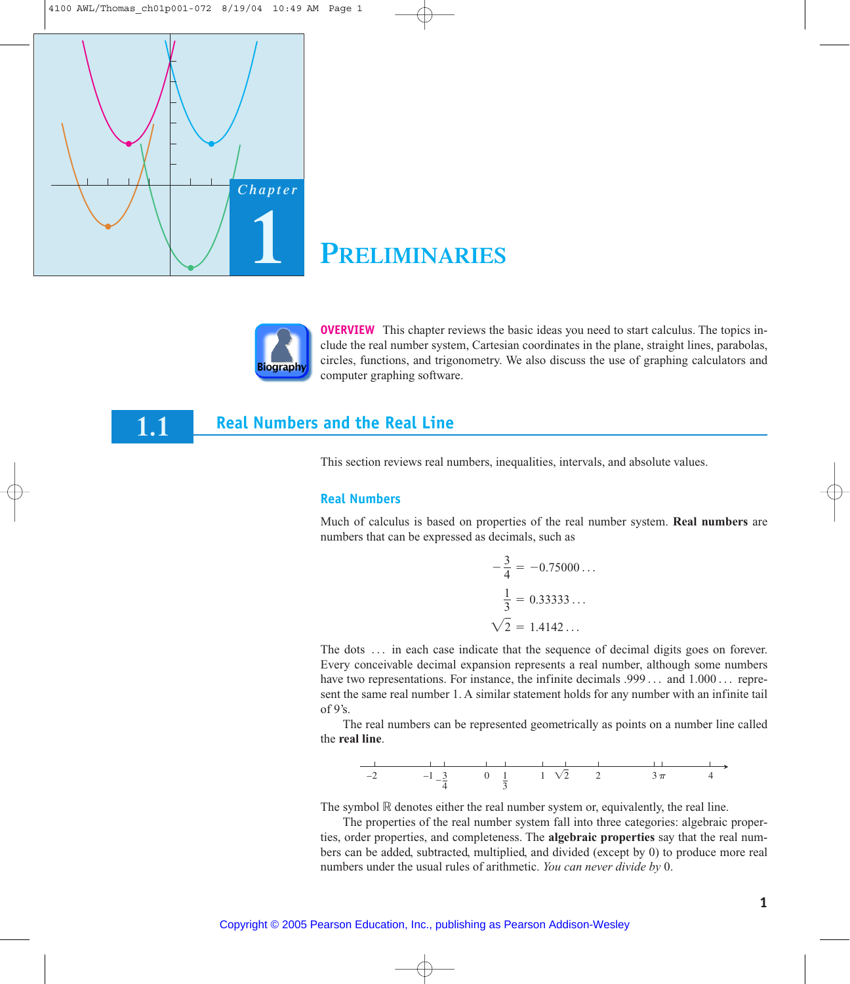

1.1

# **PRELIMINARIES**



**OVERVIEW** This chapter reviews the basic ideas you need to start calculus. The topics include the real number system, Cartesian coordinates in the plane, straight lines, parabolas, circles, functions, and trigonometry. We also discuss the use of graphing calculators and computer graphing software.

## **Real Numbers and the Real Line**

This section reviews real numbers, inequalities, intervals, and absolute values.

#### **Real Numbers**

Much of calculus is based on properties of the real number system. **Real numbers** are numbers that can be expressed as decimals, such as

$$
-\frac{3}{4} = -0.75000...
$$
  

$$
\frac{1}{3} = 0.33333...
$$
  

$$
\sqrt{2} = 1.4142...
$$

The dots ... in each case indicate that the sequence of decimal digits goes on forever. Every conceivable decimal expansion represents a real number, although some numbers have two representations. For instance, the infinite decimals .999... and 1.000... represent the same real number 1. A similar statement holds for any number with an infinite tail of  $9$ 's.

The real numbers can be represented geometrically as points on a number line called the real line.



The symbol  $\mathbb R$  denotes either the real number system or, equivalently, the real line.

The properties of the real number system fall into three categories: algebraic properties, order properties, and completeness. The **algebraic properties** say that the real numbers can be added, subtracted, multiplied, and divided (except by 0) to produce more real numbers under the usual rules of arithmetic. You can never divide by 0.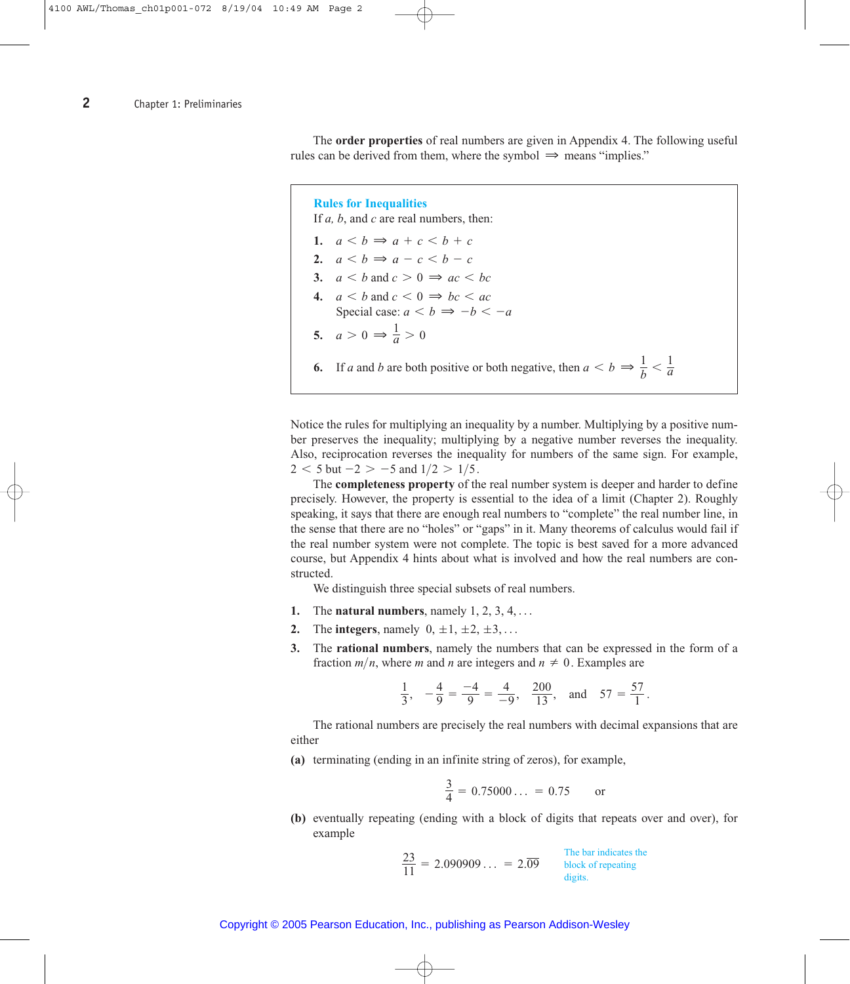The **order properties** of real numbers are given in Appendix 4. The following useful rules can be derived from them, where the symbol  $\Rightarrow$  means "implies."

**Rules for Inequalities**

If *a, b*, and *c* are real numbers, then:

**1.**  $a < b \Rightarrow a + c < b + c$ **2.**  $a < b \Rightarrow a - c < b - c$ **3.**  $a < b$  and  $c > 0 \implies ac < bc$ **4.**  $a < b$  and  $c < 0 \implies bc < ac$ Special case:  $a < b \Rightarrow -b < -a$ **5.**  $a > 0 \Rightarrow \frac{1}{a} > 0$ **6.** If *a* and *b* are both positive or both negative, then  $a < b \Rightarrow \frac{1}{b} < \frac{1}{a}$ 

Notice the rules for multiplying an inequality by a number. Multiplying by a positive number preserves the inequality; multiplying by a negative number reverses the inequality. Also, reciprocation reverses the inequality for numbers of the same sign. For example,  $2 < 5$  but  $-2 > -5$  and  $1/2 > 1/5$ .

The **completeness property** of the real number system is deeper and harder to define precisely. However, the property is essential to the idea of a limit (Chapter 2). Roughly speaking, it says that there are enough real numbers to "complete" the real number line, in the sense that there are no "holes" or "gaps" in it. Many theorems of calculus would fail if the real number system were not complete. The topic is best saved for a more advanced course, but Appendix 4 hints about what is involved and how the real numbers are constructed.

We distinguish three special subsets of real numbers.

- 1. The **natural numbers**, namely  $1, 2, 3, 4, \ldots$
- **2.** The **integers**, namely  $0, \pm 1, \pm 2, \pm 3, \ldots$
- **3.** The **rational numbers**, namely the numbers that can be expressed in the form of a fraction  $m/n$ , where *m* and *n* are integers and  $n \neq 0$ . Examples are

$$
\frac{1}{3}
$$
,  $-\frac{4}{9} = \frac{-4}{9} = \frac{4}{-9}$ ,  $\frac{200}{13}$ , and  $57 = \frac{57}{1}$ .

The rational numbers are precisely the real numbers with decimal expansions that are either

**(a)** terminating (ending in an infinite string of zeros), for example,

$$
\frac{3}{4} = 0.75000... = 0.75 \text{ or}
$$

**(b)** eventually repeating (ending with a block of digits that repeats over and over), for example

$$
\frac{23}{11} = 2.090909... = 2.\overline{09}
$$
  
The bar indicates the block of repeating digits.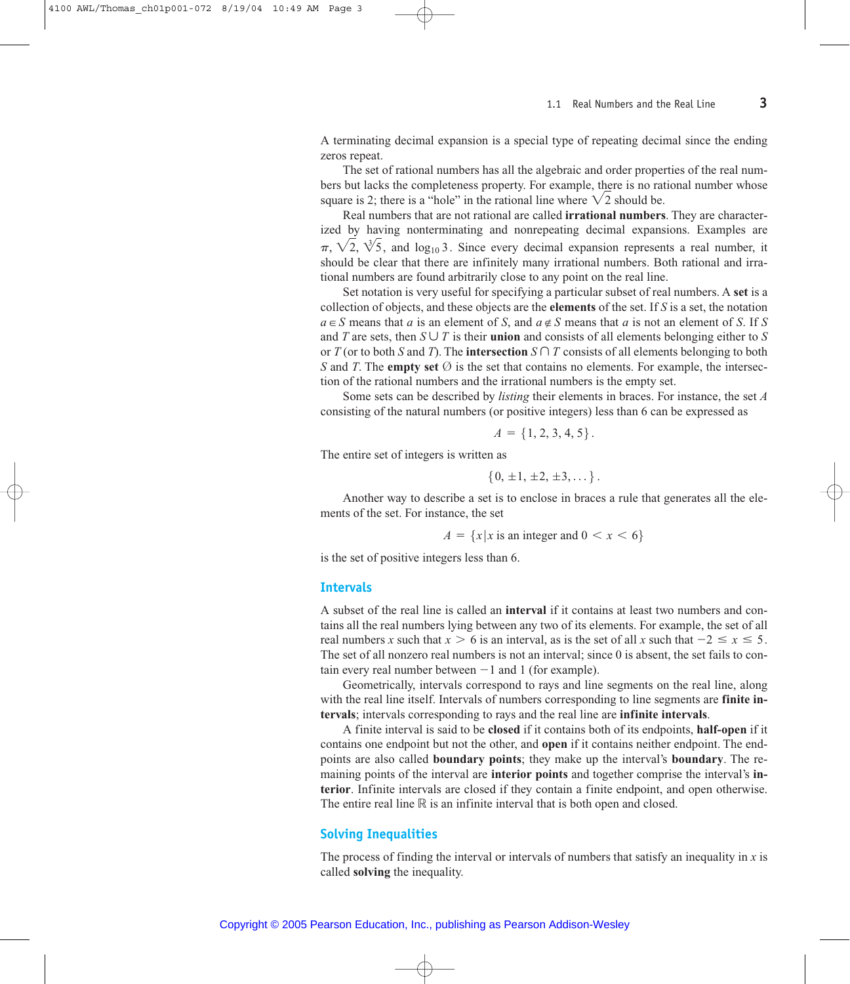A terminating decimal expansion is a special type of repeating decimal since the ending zeros repeat.

The set of rational numbers has all the algebraic and order properties of the real numbers but lacks the completeness property. For example, there is no rational number whose square is 2; there is a "hole" in the rational line where  $\sqrt{2}$  should be.

Real numbers that are not rational are called **irrational numbers**. They are characterized by having nonterminating and nonrepeating decimal expansions. Examples are  $\pi$ ,  $\sqrt{2}$ ,  $\sqrt[3]{5}$ , and log<sub>10</sub> 3. Since every decimal expansion represents a real number, it should be clear that there are infinitely many irrational numbers. Both rational and irrational numbers are found arbitrarily close to any point on the real line.

Set notation is very useful for specifying a particular subset of real numbers. A **set** is a collection of objects, and these objects are the **elements** of the set. If *S* is a set, the notation  $a \in S$  means that *a* is an element of *S*, and  $a \notin S$  means that *a* is not an element of *S*. If *S* and *T* are sets, then  $S \cup T$  is their **union** and consists of all elements belonging either to *S* or *T* (or to both *S* and *T*). The **intersection**  $S \cap T$  consists of all elements belonging to both *S* and *T*. The **empty set**  $\emptyset$  is the set that contains no elements. For example, the intersection of the rational numbers and the irrational numbers is the empty set.

Some sets can be described by *listing* their elements in braces. For instance, the set *A* consisting of the natural numbers (or positive integers) less than 6 can be expressed as

$$
A = \{1, 2, 3, 4, 5\}.
$$

The entire set of integers is written as

$$
\{0,\,\pm 1,\,\pm 2,\,\pm 3,\dots\,\} \, .
$$

Another way to describe a set is to enclose in braces a rule that generates all the elements of the set. For instance, the set

$$
A = \{x \mid x \text{ is an integer and } 0 < x < 6\}
$$

is the set of positive integers less than 6.

#### **Intervals**

A subset of the real line is called an **interval** if it contains at least two numbers and contains all the real numbers lying between any two of its elements. For example, the set of all real numbers *x* such that  $x > 6$  is an interval, as is the set of all *x* such that  $-2 \le x \le 5$ . The set of all nonzero real numbers is not an interval; since 0 is absent, the set fails to contain every real number between  $-1$  and 1 (for example).

Geometrically, intervals correspond to rays and line segments on the real line, along with the real line itself. Intervals of numbers corresponding to line segments are **finite intervals**; intervals corresponding to rays and the real line are **infinite intervals**.

A finite interval is said to be **closed** if it contains both of its endpoints, **half-open** if it contains one endpoint but not the other, and **open** if it contains neither endpoint. The endpoints are also called **boundary points**; they make up the interval's **boundary**. The remaining points of the interval are **interior points** and together comprise the interval's **interior**. Infinite intervals are closed if they contain a finite endpoint, and open otherwise. The entire real line  $\mathbb R$  is an infinite interval that is both open and closed.

#### **Solving Inequalities**

The process of finding the interval or intervals of numbers that satisfy an inequality in *x* is called **solving** the inequality.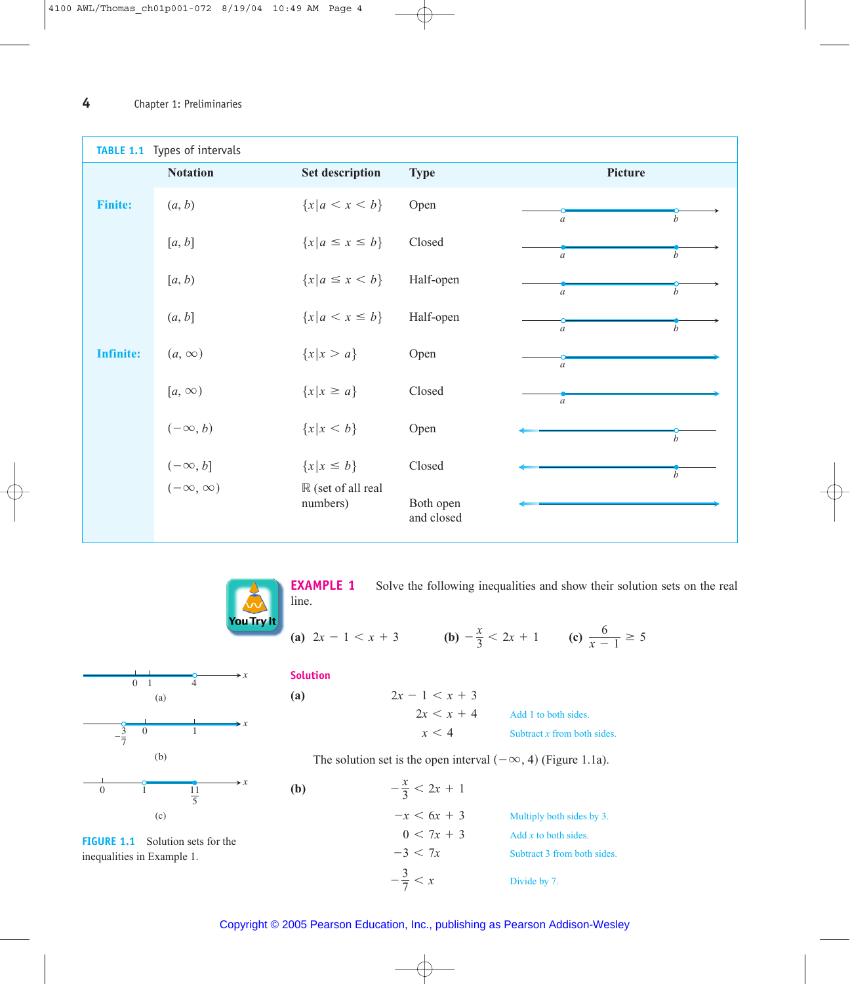| TABLE 1.1 Types of intervals |                     |                                          |                         |                                      |  |  |  |  |  |
|------------------------------|---------------------|------------------------------------------|-------------------------|--------------------------------------|--|--|--|--|--|
|                              | <b>Notation</b>     | <b>Set description</b>                   | <b>Type</b>             | Picture                              |  |  |  |  |  |
| <b>Finite:</b>               | (a, b)              | ${x a < x < b}$                          | Open                    | $\boldsymbol{h}$<br>$\boldsymbol{a}$ |  |  |  |  |  |
|                              | [a, b]              | ${x a \leq x \leq b}$                    | Closed                  | $\boldsymbol{b}$<br>$\boldsymbol{a}$ |  |  |  |  |  |
|                              | [a, b)              | ${x a \leq x < b}$                       | Half-open               | $\boldsymbol{b}$<br>$\boldsymbol{a}$ |  |  |  |  |  |
|                              | (a, b]              | ${x a < x \le b}$                        | Half-open               | b<br>$\boldsymbol{a}$                |  |  |  |  |  |
| <b>Infinite:</b>             | $(a, \infty)$       | ${x \mid x > a}$                         | Open                    | $\boldsymbol{a}$                     |  |  |  |  |  |
|                              | $[a, \infty)$       | ${x \mid x \ge a}$                       | Closed                  | $\overline{a}$                       |  |  |  |  |  |
|                              | $(-\infty, b)$      | ${x   x < b}$                            | Open                    | $\boldsymbol{h}$                     |  |  |  |  |  |
|                              | $(-\infty, b]$      | ${x \mid x \le b}$                       | Closed                  | $\boldsymbol{b}$                     |  |  |  |  |  |
|                              | $(-\infty, \infty)$ | $\mathbb R$ (set of all real<br>numbers) | Both open<br>and closed |                                      |  |  |  |  |  |



**EXAMPLE 1** Solve the following inequalities and show their solution sets on the real line.

**(a)**  $2x - 1 < x + 3$  **(b)**  $-\frac{x}{3} < 2x + 1$  **(c)**  $\frac{6}{x - 1} \ge 5$ 



**FIGURE 1.1** Solution sets for the inequalities in Example 1.

#### **Solution**

**(a)**

**(b)**

Add 1 to both sides. Subtract *x* from both sides.  $x < 4$  $2x < x + 4$  $2x - 1 < x + 3$ 

The solution set is the open interval  $(-\infty, 4)$  (Figure 1.1a).

Multiply both sides by 3. Add *x* to both sides. Subtract 3 from both sides.  $-\frac{3}{7} < x$  Divide by 7.  $-3 < 7x$  $0 < 7x + 3$  $-x < 6x + 3$  $-\frac{x}{3} < 2x + 1$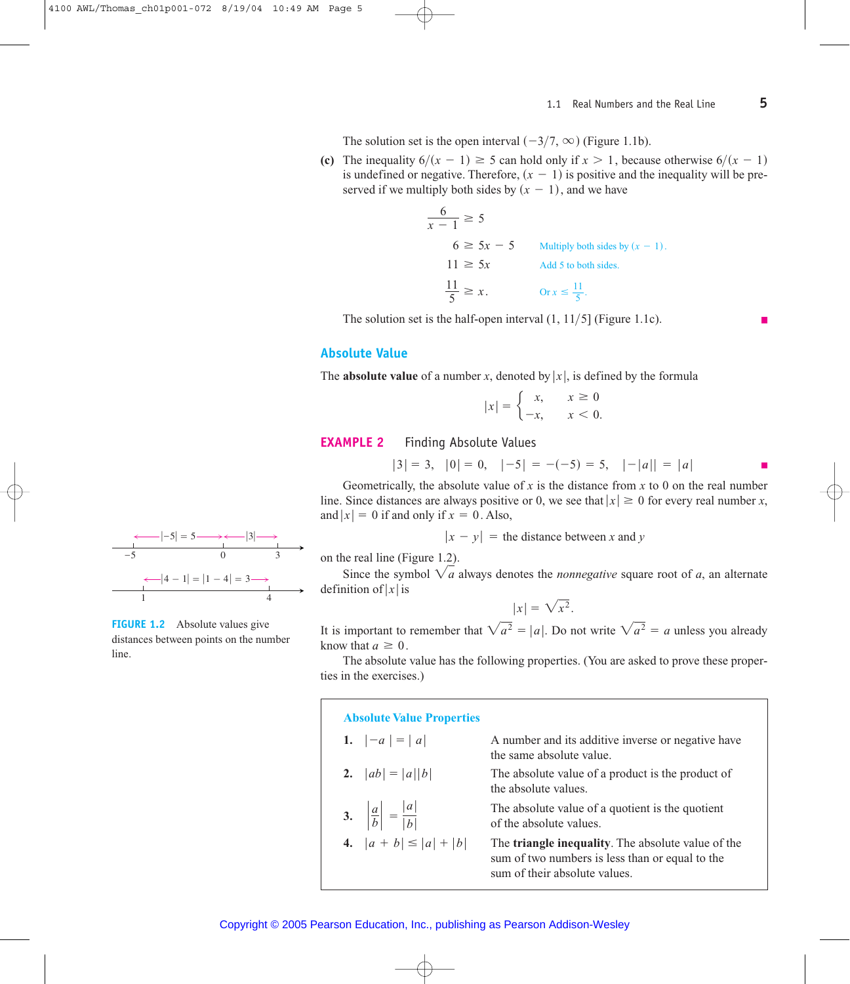The solution set is the open interval  $(-3/7, \infty)$  (Figure 1.1b).

(c) The inequality  $6/(x - 1) \ge 5$  can hold only if  $x > 1$ , because otherwise  $6/(x - 1)$ is undefined or negative. Therefore,  $(x - 1)$  is positive and the inequality will be preserved if we multiply both sides by  $(x - 1)$ , and we have

> $\frac{6}{x-1} \ge 5$  $6 \geq 5x - 5$  Multiply both sides by  $(x - 1)$ .  $11 \geq 5x$  Add 5 to both sides.  $\frac{11}{5} \ge x$ . Or  $x \le \frac{11}{5}$ .

The solution set is the half-open interval  $(1, 11/5)$  (Figure 1.1c).

#### **Absolute Value**

The **absolute value** of a number x, denoted by |x|, is defined by the formula

$$
|x| = \begin{cases} x, & x \ge 0 \\ -x, & x < 0. \end{cases}
$$

#### **EXAMPLE 2 Finding Absolute Values**

 $|3| = 3, |0| = 0, |-5| = -(-5) = 5, |-|a|| = |a|$ 

Geometrically, the absolute value of x is the distance from x to 0 on the real number line. Since distances are always positive or 0, we see that  $|x| \ge 0$  for every real number x, and  $|x| = 0$  if and only if  $x = 0$ . Also,

$$
x - y
$$
 = the distance between x and y

on the real line (Figure 1.2).

Since the symbol  $\sqrt{a}$  always denotes the *nonnegative* square root of a, an alternate definition of  $|x|$  is

$$
|x| = \sqrt{x^2}.
$$

It is important to remember that  $\sqrt{a^2} = |a|$ . Do not write  $\sqrt{a^2} = a$  unless you already know that  $a \geq 0$ .

The absolute value has the following properties. (You are asked to prove these properties in the exercises.)

| <b>Absolute Value Properties</b>                |                                                                                                                                                |
|-------------------------------------------------|------------------------------------------------------------------------------------------------------------------------------------------------|
| 1. $ -a  =  a $                                 | A number and its additive inverse or negative have<br>the same absolute value.                                                                 |
| 2. $ ab  =  a  b $                              | The absolute value of a product is the product of<br>the absolute values.                                                                      |
| 3. $\left \frac{a}{b}\right  = \frac{ a }{ b }$ | The absolute value of a quotient is the quotient<br>of the absolute values.                                                                    |
| 4. $ a + b  \leq  a  +  b $                     | The <b>triangle inequality</b> . The absolute value of the<br>sum of two numbers is less than or equal to the<br>sum of their absolute values. |



**FIGURE 1.2** Absolute values give distances between points on the number line.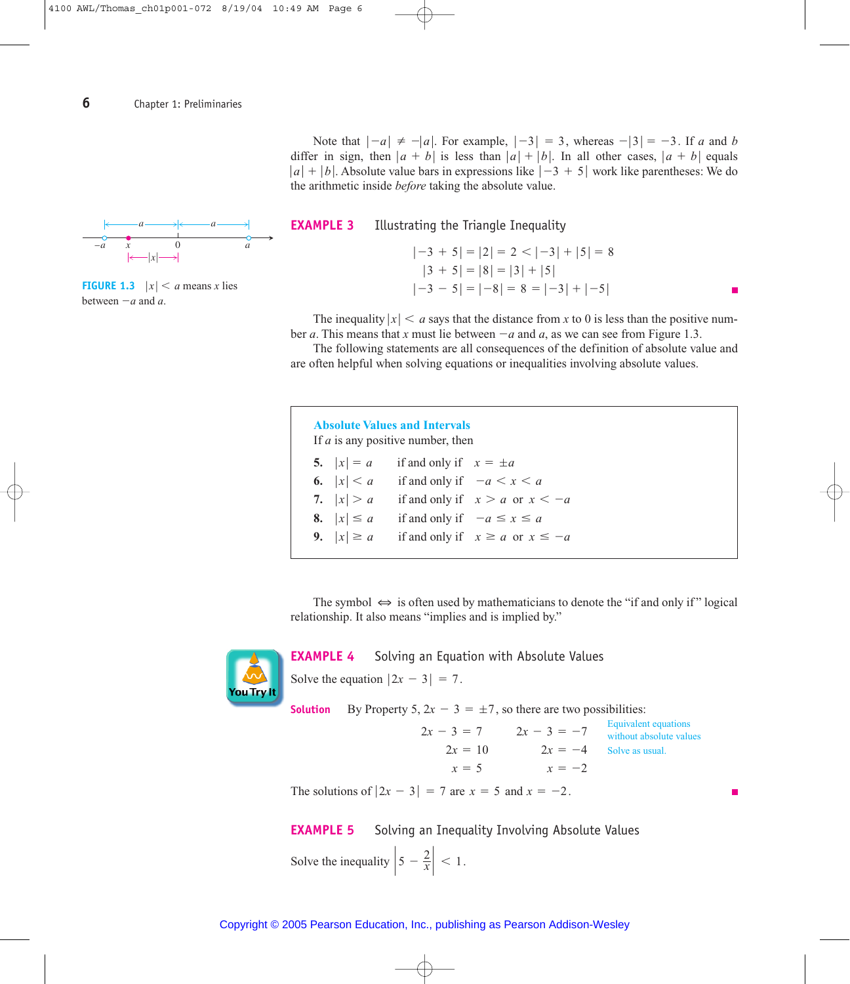Note that  $|-a| \neq -|a|$ . For example,  $|-3| = 3$ , whereas  $-|3| = -3$ . If a and b differ in sign, then  $|a + b|$  is less than  $|a| + |b|$ . In all other cases,  $|a + b|$  equals  $|a| + |b|$ . Absolute value bars in expressions like  $|-3 + 5|$  work like parentheses: We do the arithmetic inside *before* taking the absolute value.



**FIGURE 1.3**  $|x| < a$  means *x* lies between  $-a$  and  $a$ .



The inequality  $|x| < a$  says that the distance from *x* to 0 is less than the positive number *a*. This means that *x* must lie between  $-a$  and *a*, as we can see from Figure 1.3.

The following statements are all consequences of the definition of absolute value and are often helpful when solving equations or inequalities involving absolute values.

| <b>Absolute Values and Intervals</b><br>If <i>a</i> is any positive number, then |                |                                        |  |  |  |  |  |  |
|----------------------------------------------------------------------------------|----------------|----------------------------------------|--|--|--|--|--|--|
|                                                                                  | 5. $ x  = a$   | if and only if $x = \pm a$             |  |  |  |  |  |  |
|                                                                                  | 6. $ x  < a$   | if and only if $-a < x < a$            |  |  |  |  |  |  |
|                                                                                  | 7. $ x  > a$   | if and only if $x > a$ or $x < -a$     |  |  |  |  |  |  |
|                                                                                  | 8. $ x  \le a$ | if and only if $-a \le x \le a$        |  |  |  |  |  |  |
|                                                                                  | 9. $ x  \ge a$ | if and only if $x \ge a$ or $x \le -a$ |  |  |  |  |  |  |

The symbol  $\iff$  is often used by mathematicians to denote the "if and only if" logical relationship. It also means "implies and is implied by."



#### **EXAMPLE 4** Solving an Equation with Absolute Values

Solve the equation  $|2x - 3| = 7$ .

**Solution** By Property 5,  $2x - 3 = \pm 7$ , so there are two possibilities:

 $2x = 10$   $2x = -4$  Solve as usual.  $x = 5$   $x = -2$  $2x - 3 = 7$   $2x - 3 = -7$  Equivalent equations without absolute values

The solutions of  $|2x - 3| = 7$  are  $x = 5$  and  $x = -2$ .

**EXAMPLE 5** Solving an Inequality Involving Absolute Values

Solve the inequality  $\left| 5 - \frac{2}{x} \right| < 1$ .